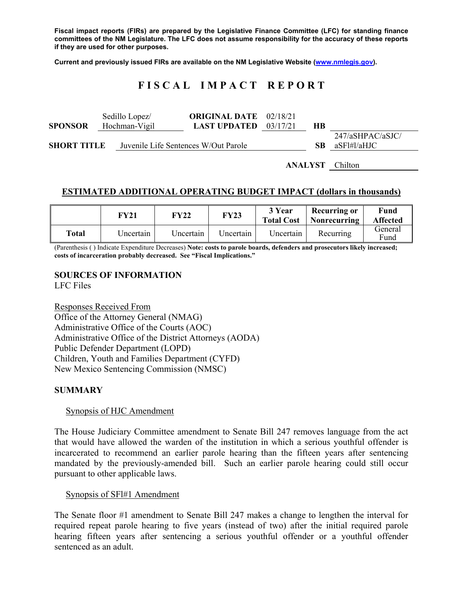**Fiscal impact reports (FIRs) are prepared by the Legislative Finance Committee (LFC) for standing finance committees of the NM Legislature. The LFC does not assume responsibility for the accuracy of these reports if they are used for other purposes.** 

**Current and previously issued FIRs are available on the NM Legislative Website (www.nmlegis.gov).** 

# **F I S C A L I M P A C T R E P O R T**

| <b>SPONSOR</b>                                             | Sedillo Lopez/<br>Hochman-Vigil | <b>ORIGINAL DATE</b> 02/18/21<br><b>LAST UPDATED</b> | 03/17/21 | HВ |                                 |
|------------------------------------------------------------|---------------------------------|------------------------------------------------------|----------|----|---------------------------------|
| <b>SHORT TITLE</b><br>Juvenile Life Sentences W/Out Parole |                                 |                                                      |          | SB | 247/aSHPAC/aSJC/<br>aSF1#1/aHJC |

**ANALYST** Chilton

# **ESTIMATED ADDITIONAL OPERATING BUDGET IMPACT (dollars in thousands)**

|       | FY21      | <b>FY22</b> | <b>FY23</b> | 3 Year<br><b>Total Cost</b> | Recurring or<br>Nonrecurring | <b>Fund</b><br><b>Affected</b> |
|-------|-----------|-------------|-------------|-----------------------------|------------------------------|--------------------------------|
| Total | Uncertain | Uncertain   | Uncertain   | Uncertain                   | Recurring                    | General<br>Fund                |

(Parenthesis ( ) Indicate Expenditure Decreases) **Note: costs to parole boards, defenders and prosecutors likely increased; costs of incarceration probably decreased. See "Fiscal Implications."** 

# **SOURCES OF INFORMATION**

LFC Files

Responses Received From Office of the Attorney General (NMAG) Administrative Office of the Courts (AOC) Administrative Office of the District Attorneys (AODA) Public Defender Department (LOPD) Children, Youth and Families Department (CYFD) New Mexico Sentencing Commission (NMSC)

# **SUMMARY**

#### Synopsis of HJC Amendment

The House Judiciary Committee amendment to Senate Bill 247 removes language from the act that would have allowed the warden of the institution in which a serious youthful offender is incarcerated to recommend an earlier parole hearing than the fifteen years after sentencing mandated by the previously-amended bill. Such an earlier parole hearing could still occur pursuant to other applicable laws.

#### Synopsis of SFl#1 Amendment

The Senate floor #1 amendment to Senate Bill 247 makes a change to lengthen the interval for required repeat parole hearing to five years (instead of two) after the initial required parole hearing fifteen years after sentencing a serious youthful offender or a youthful offender sentenced as an adult.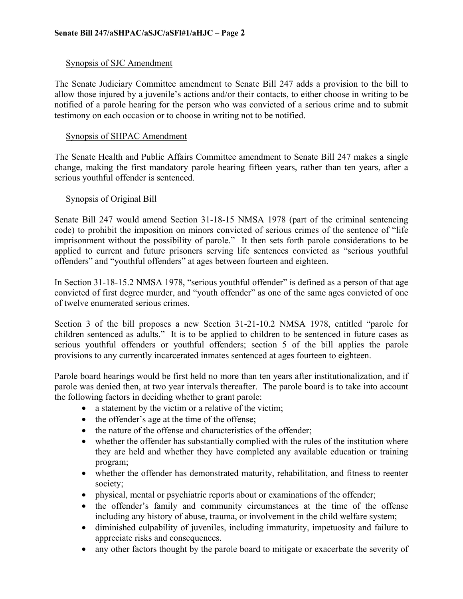# Synopsis of SJC Amendment

The Senate Judiciary Committee amendment to Senate Bill 247 adds a provision to the bill to allow those injured by a juvenile's actions and/or their contacts, to either choose in writing to be notified of a parole hearing for the person who was convicted of a serious crime and to submit testimony on each occasion or to choose in writing not to be notified.

# Synopsis of SHPAC Amendment

The Senate Health and Public Affairs Committee amendment to Senate Bill 247 makes a single change, making the first mandatory parole hearing fifteen years, rather than ten years, after a serious youthful offender is sentenced.

# Synopsis of Original Bill

Senate Bill 247 would amend Section 31-18-15 NMSA 1978 (part of the criminal sentencing code) to prohibit the imposition on minors convicted of serious crimes of the sentence of "life imprisonment without the possibility of parole." It then sets forth parole considerations to be applied to current and future prisoners serving life sentences convicted as "serious youthful offenders" and "youthful offenders" at ages between fourteen and eighteen.

In Section 31-18-15.2 NMSA 1978, "serious youthful offender" is defined as a person of that age convicted of first degree murder, and "youth offender" as one of the same ages convicted of one of twelve enumerated serious crimes.

Section 3 of the bill proposes a new Section 31-21-10.2 NMSA 1978, entitled "parole for children sentenced as adults." It is to be applied to children to be sentenced in future cases as serious youthful offenders or youthful offenders; section 5 of the bill applies the parole provisions to any currently incarcerated inmates sentenced at ages fourteen to eighteen.

Parole board hearings would be first held no more than ten years after institutionalization, and if parole was denied then, at two year intervals thereafter. The parole board is to take into account the following factors in deciding whether to grant parole:

- a statement by the victim or a relative of the victim;
- the offender's age at the time of the offense;
- the nature of the offense and characteristics of the offender;
- whether the offender has substantially complied with the rules of the institution where they are held and whether they have completed any available education or training program;
- whether the offender has demonstrated maturity, rehabilitation, and fitness to reenter society;
- physical, mental or psychiatric reports about or examinations of the offender;
- the offender's family and community circumstances at the time of the offense including any history of abuse, trauma, or involvement in the child welfare system;
- diminished culpability of juveniles, including immaturity, impetuosity and failure to appreciate risks and consequences.
- any other factors thought by the parole board to mitigate or exacerbate the severity of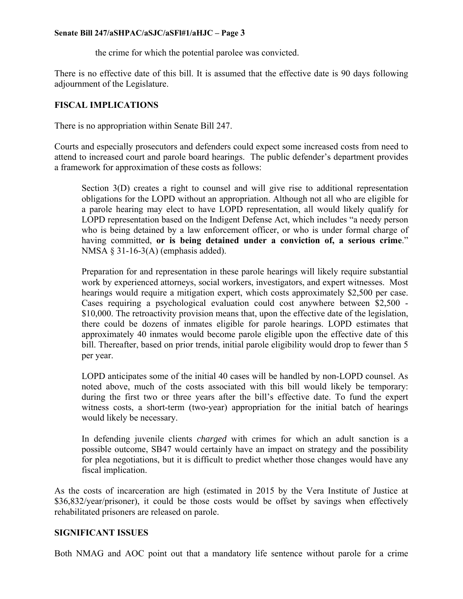### **Senate Bill 247/aSHPAC/aSJC/aSFl#1/aHJC – Page 3**

the crime for which the potential parolee was convicted.

There is no effective date of this bill. It is assumed that the effective date is 90 days following adjournment of the Legislature.

# **FISCAL IMPLICATIONS**

There is no appropriation within Senate Bill 247.

Courts and especially prosecutors and defenders could expect some increased costs from need to attend to increased court and parole board hearings. The public defender's department provides a framework for approximation of these costs as follows:

Section 3(D) creates a right to counsel and will give rise to additional representation obligations for the LOPD without an appropriation. Although not all who are eligible for a parole hearing may elect to have LOPD representation, all would likely qualify for LOPD representation based on the Indigent Defense Act, which includes "a needy person who is being detained by a law enforcement officer, or who is under formal charge of having committed, **or is being detained under a conviction of, a serious crime**." NMSA  $\S$  31-16-3(A) (emphasis added).

Preparation for and representation in these parole hearings will likely require substantial work by experienced attorneys, social workers, investigators, and expert witnesses. Most hearings would require a mitigation expert, which costs approximately \$2,500 per case. Cases requiring a psychological evaluation could cost anywhere between \$2,500 - \$10,000. The retroactivity provision means that, upon the effective date of the legislation, there could be dozens of inmates eligible for parole hearings. LOPD estimates that approximately 40 inmates would become parole eligible upon the effective date of this bill. Thereafter, based on prior trends, initial parole eligibility would drop to fewer than 5 per year.

LOPD anticipates some of the initial 40 cases will be handled by non-LOPD counsel. As noted above, much of the costs associated with this bill would likely be temporary: during the first two or three years after the bill's effective date. To fund the expert witness costs, a short-term (two-year) appropriation for the initial batch of hearings would likely be necessary.

In defending juvenile clients *charged* with crimes for which an adult sanction is a possible outcome, SB47 would certainly have an impact on strategy and the possibility for plea negotiations, but it is difficult to predict whether those changes would have any fiscal implication.

As the costs of incarceration are high (estimated in 2015 by the Vera Institute of Justice at \$36,832/year/prisoner), it could be those costs would be offset by savings when effectively rehabilitated prisoners are released on parole.

# **SIGNIFICANT ISSUES**

Both NMAG and AOC point out that a mandatory life sentence without parole for a crime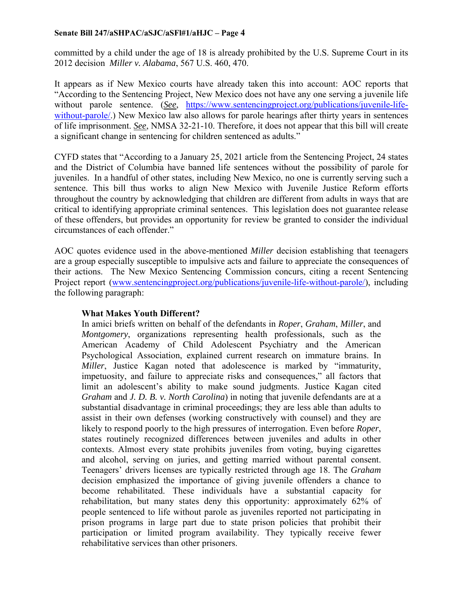### **Senate Bill 247/aSHPAC/aSJC/aSFl#1/aHJC – Page 4**

committed by a child under the age of 18 is already prohibited by the U.S. Supreme Court in its 2012 decision *Miller v. Alabama*, 567 U.S. 460, 470.

It appears as if New Mexico courts have already taken this into account: AOC reports that "According to the Sentencing Project, New Mexico does not have any one serving a juvenile life without parole sentence. (*See*, https://www.sentencingproject.org/publications/juvenile-lifewithout-parole.) New Mexico law also allows for parole hearings after thirty years in sentences of life imprisonment. *See*, NMSA 32-21-10. Therefore, it does not appear that this bill will create a significant change in sentencing for children sentenced as adults."

CYFD states that "According to a January 25, 2021 article from the Sentencing Project, 24 states and the District of Columbia have banned life sentences without the possibility of parole for juveniles. In a handful of other states, including New Mexico, no one is currently serving such a sentence. This bill thus works to align New Mexico with Juvenile Justice Reform efforts throughout the country by acknowledging that children are different from adults in ways that are critical to identifying appropriate criminal sentences. This legislation does not guarantee release of these offenders, but provides an opportunity for review be granted to consider the individual circumstances of each offender."

AOC quotes evidence used in the above-mentioned *Miller* decision establishing that teenagers are a group especially susceptible to impulsive acts and failure to appreciate the consequences of their actions. The New Mexico Sentencing Commission concurs, citing a recent Sentencing Project report (www.sentencingproject.org/publications/juvenile-life-without-parole/), including the following paragraph:

# **What Makes Youth Different?**

In amici briefs written on behalf of the defendants in *Roper*, *Graham*, *Miller*, and *Montgomery*, organizations representing health professionals, such as the American Academy of Child Adolescent Psychiatry and the American Psychological Association, explained current research on immature brains. In *Miller*, Justice Kagan noted that adolescence is marked by "immaturity, impetuosity, and failure to appreciate risks and consequences," all factors that limit an adolescent's ability to make sound judgments. Justice Kagan cited *Graham* and *J. D. B. v. North Carolina*) in noting that juvenile defendants are at a substantial disadvantage in criminal proceedings; they are less able than adults to assist in their own defenses (working constructively with counsel) and they are likely to respond poorly to the high pressures of interrogation. Even before *Roper*, states routinely recognized differences between juveniles and adults in other contexts. Almost every state prohibits juveniles from voting, buying cigarettes and alcohol, serving on juries, and getting married without parental consent. Teenagers' drivers licenses are typically restricted through age 18. The *Graham* decision emphasized the importance of giving juvenile offenders a chance to become rehabilitated. These individuals have a substantial capacity for rehabilitation, but many states deny this opportunity: approximately 62% of people sentenced to life without parole as juveniles reported not participating in prison programs in large part due to state prison policies that prohibit their participation or limited program availability. They typically receive fewer rehabilitative services than other prisoners.